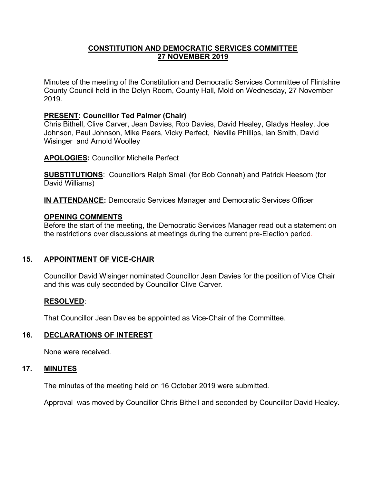### **CONSTITUTION AND DEMOCRATIC SERVICES COMMITTEE 27 NOVEMBER 2019**

Minutes of the meeting of the Constitution and Democratic Services Committee of Flintshire County Council held in the Delyn Room, County Hall, Mold on Wednesday, 27 November 2019.

## **PRESENT: Councillor Ted Palmer (Chair)**

Chris Bithell, Clive Carver, Jean Davies, Rob Davies, David Healey, Gladys Healey, Joe Johnson, Paul Johnson, Mike Peers, Vicky Perfect, Neville Phillips, Ian Smith, David Wisinger and Arnold Woolley

**APOLOGIES:** Councillor Michelle Perfect

**SUBSTITUTIONS**: Councillors Ralph Small (for Bob Connah) and Patrick Heesom (for David Williams)

**IN ATTENDANCE:** Democratic Services Manager and Democratic Services Officer

## **OPENING COMMENTS**

Before the start of the meeting, the Democratic Services Manager read out a statement on the restrictions over discussions at meetings during the current pre-Election period.

# **15. APPOINTMENT OF VICE-CHAIR**

Councillor David Wisinger nominated Councillor Jean Davies for the position of Vice Chair and this was duly seconded by Councillor Clive Carver.

#### **RESOLVED**:

That Councillor Jean Davies be appointed as Vice-Chair of the Committee.

#### **16. DECLARATIONS OF INTEREST**

None were received.

#### **17. MINUTES**

The minutes of the meeting held on 16 October 2019 were submitted.

Approval was moved by Councillor Chris Bithell and seconded by Councillor David Healey.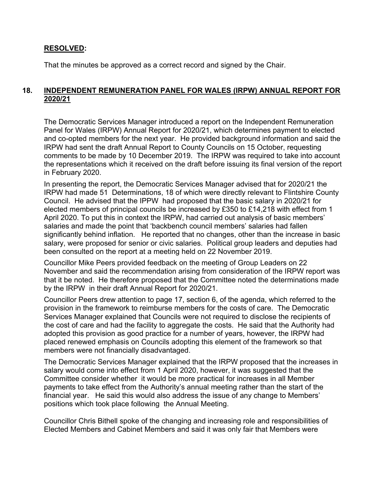#### **RESOLVED:**

That the minutes be approved as a correct record and signed by the Chair.

## **18. INDEPENDENT REMUNERATION PANEL FOR WALES (IRPW) ANNUAL REPORT FOR 2020/21**

The Democratic Services Manager introduced a report on the Independent Remuneration Panel for Wales (IRPW) Annual Report for 2020/21, which determines payment to elected and co-opted members for the next year. He provided background information and said the IRPW had sent the draft Annual Report to County Councils on 15 October, requesting comments to be made by 10 December 2019. The IRPW was required to take into account the representations which it received on the draft before issuing its final version of the report in February 2020.

In presenting the report, the Democratic Services Manager advised that for 2020/21 the IRPW had made 51 Determinations, 18 of which were directly relevant to Flintshire County Council. He advised that the IPPW had proposed that the basic salary in 2020/21 for elected members of principal councils be increased by £350 to £14,218 with effect from 1 April 2020. To put this in context the IRPW, had carried out analysis of basic members' salaries and made the point that 'backbench council members' salaries had fallen significantly behind inflation. He reported that no changes, other than the increase in basic salary, were proposed for senior or civic salaries. Political group leaders and deputies had been consulted on the report at a meeting held on 22 November 2019.

Councillor Mike Peers provided feedback on the meeting of Group Leaders on 22 November and said the recommendation arising from consideration of the IRPW report was that it be noted. He therefore proposed that the Committee noted the determinations made by the IRPW in their draft Annual Report for 2020/21.

Councillor Peers drew attention to page 17, section 6, of the agenda, which referred to the provision in the framework to reimburse members for the costs of care. The Democratic Services Manager explained that Councils were not required to disclose the recipients of the cost of care and had the facility to aggregate the costs. He said that the Authority had adopted this provision as good practice for a number of years, however, the IRPW had placed renewed emphasis on Councils adopting this element of the framework so that members were not financially disadvantaged.

The Democratic Services Manager explained that the IRPW proposed that the increases in salary would come into effect from 1 April 2020, however, it was suggested that the Committee consider whether it would be more practical for increases in all Member payments to take effect from the Authority's annual meeting rather than the start of the financial year. He said this would also address the issue of any change to Members' positions which took place following the Annual Meeting.

Councillor Chris Bithell spoke of the changing and increasing role and responsibilities of Elected Members and Cabinet Members and said it was only fair that Members were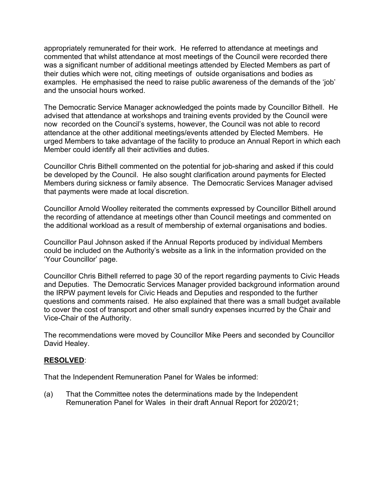appropriately remunerated for their work. He referred to attendance at meetings and commented that whilst attendance at most meetings of the Council were recorded there was a significant number of additional meetings attended by Elected Members as part of their duties which were not, citing meetings of outside organisations and bodies as examples. He emphasised the need to raise public awareness of the demands of the 'job' and the unsocial hours worked.

The Democratic Service Manager acknowledged the points made by Councillor Bithell. He advised that attendance at workshops and training events provided by the Council were now recorded on the Council's systems, however, the Council was not able to record attendance at the other additional meetings/events attended by Elected Members. He urged Members to take advantage of the facility to produce an Annual Report in which each Member could identify all their activities and duties.

Councillor Chris Bithell commented on the potential for job-sharing and asked if this could be developed by the Council. He also sought clarification around payments for Elected Members during sickness or family absence. The Democratic Services Manager advised that payments were made at local discretion.

Councillor Arnold Woolley reiterated the comments expressed by Councillor Bithell around the recording of attendance at meetings other than Council meetings and commented on the additional workload as a result of membership of external organisations and bodies.

Councillor Paul Johnson asked if the Annual Reports produced by individual Members could be included on the Authority's website as a link in the information provided on the 'Your Councillor' page.

Councillor Chris Bithell referred to page 30 of the report regarding payments to Civic Heads and Deputies. The Democratic Services Manager provided background information around the IRPW payment levels for Civic Heads and Deputies and responded to the further questions and comments raised. He also explained that there was a small budget available to cover the cost of transport and other small sundry expenses incurred by the Chair and Vice-Chair of the Authority.

The recommendations were moved by Councillor Mike Peers and seconded by Councillor David Healey.

#### **RESOLVED**:

That the Independent Remuneration Panel for Wales be informed:

(a) That the Committee notes the determinations made by the Independent Remuneration Panel for Wales in their draft Annual Report for 2020/21;